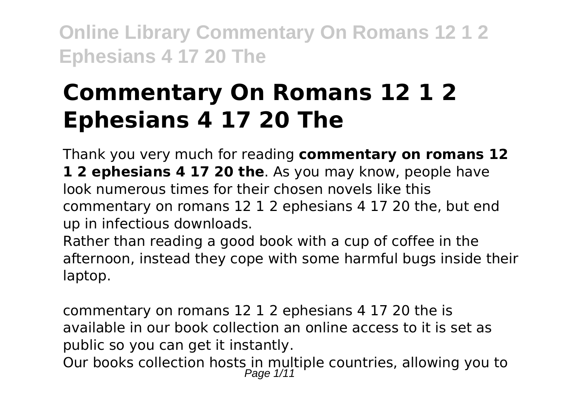# **Commentary On Romans 12 1 2 Ephesians 4 17 20 The**

Thank you very much for reading **commentary on romans 12 1 2 ephesians 4 17 20 the**. As you may know, people have look numerous times for their chosen novels like this commentary on romans 12 1 2 ephesians 4 17 20 the, but end up in infectious downloads.

Rather than reading a good book with a cup of coffee in the afternoon, instead they cope with some harmful bugs inside their laptop.

commentary on romans 12 1 2 ephesians 4 17 20 the is available in our book collection an online access to it is set as public so you can get it instantly. Our books collection hosts in multiple countries, allowing you to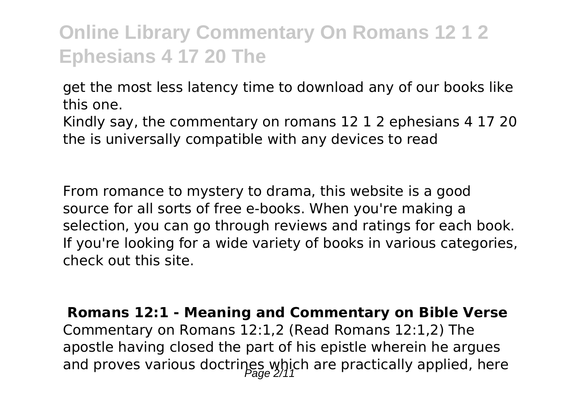get the most less latency time to download any of our books like this one.

Kindly say, the commentary on romans 12 1 2 ephesians 4 17 20 the is universally compatible with any devices to read

From romance to mystery to drama, this website is a good source for all sorts of free e-books. When you're making a selection, you can go through reviews and ratings for each book. If you're looking for a wide variety of books in various categories, check out this site.

**Romans 12:1 - Meaning and Commentary on Bible Verse** Commentary on Romans 12:1,2 (Read Romans 12:1,2) The apostle having closed the part of his epistle wherein he argues and proves various doctrines which are practically applied, here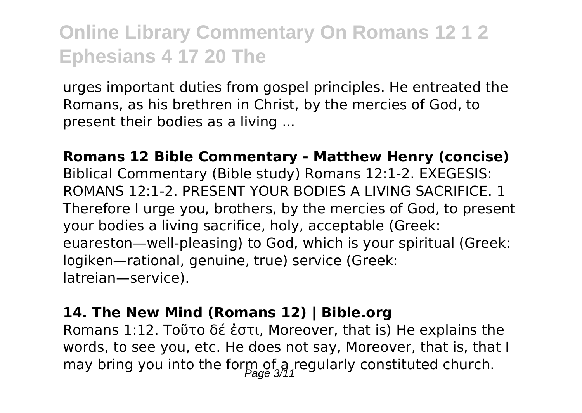urges important duties from gospel principles. He entreated the Romans, as his brethren in Christ, by the mercies of God, to present their bodies as a living ...

**Romans 12 Bible Commentary - Matthew Henry (concise)** Biblical Commentary (Bible study) Romans 12:1-2. EXEGESIS: ROMANS 12:1-2. PRESENT YOUR BODIES A LIVING SACRIFICE. 1 Therefore I urge you, brothers, by the mercies of God, to present your bodies a living sacrifice, holy, acceptable (Greek: euareston—well-pleasing) to God, which is your spiritual (Greek: logiken—rational, genuine, true) service (Greek: latreian—service).

#### **14. The New Mind (Romans 12) | Bible.org**

Romans 1:12. Τοῦτο δέ ἐστι, Moreover, that is) He explains the words, to see you, etc. He does not say, Moreover, that is, that I may bring you into the form of a regularly constituted church.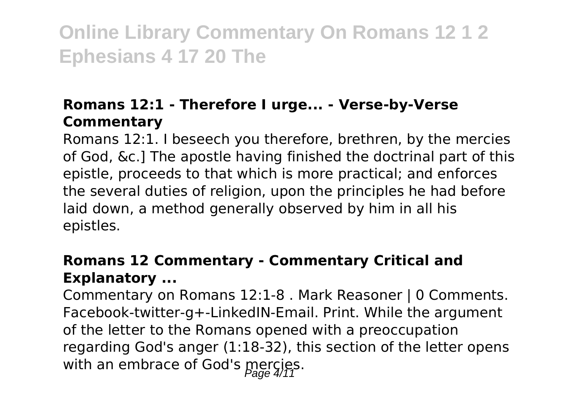## **Romans 12:1 - Therefore I urge... - Verse-by-Verse Commentary**

Romans 12:1. I beseech you therefore, brethren, by the mercies of God, &c.] The apostle having finished the doctrinal part of this epistle, proceeds to that which is more practical; and enforces the several duties of religion, upon the principles he had before laid down, a method generally observed by him in all his epistles.

## **Romans 12 Commentary - Commentary Critical and Explanatory ...**

Commentary on Romans 12:1-8 . Mark Reasoner | 0 Comments. Facebook-twitter-g+-LinkedIN-Email. Print. While the argument of the letter to the Romans opened with a preoccupation regarding God's anger (1:18-32), this section of the letter opens with an embrace of God's  $\frac{1}{2}$  mercies.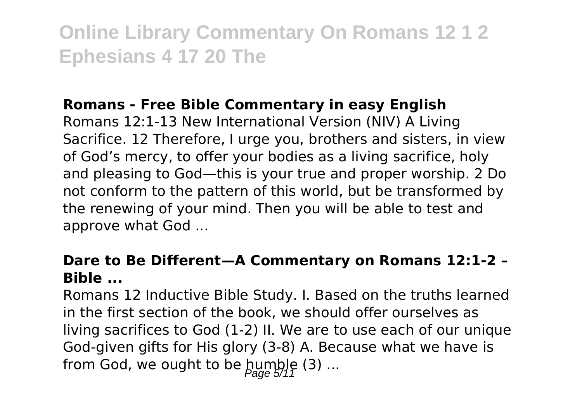### **Romans - Free Bible Commentary in easy English**

Romans 12:1-13 New International Version (NIV) A Living Sacrifice. 12 Therefore, I urge you, brothers and sisters, in view of God's mercy, to offer your bodies as a living sacrifice, holy and pleasing to God—this is your true and proper worship. 2 Do not conform to the pattern of this world, but be transformed by the renewing of your mind. Then you will be able to test and approve what God ...

### **Dare to Be Different—A Commentary on Romans 12:1-2 – Bible ...**

Romans 12 Inductive Bible Study. I. Based on the truths learned in the first section of the book, we should offer ourselves as living sacrifices to God (1-2) II. We are to use each of our unique God-given gifts for His glory (3-8) A. Because what we have is from God, we ought to be  $\text{pump}_1$ e (3) ...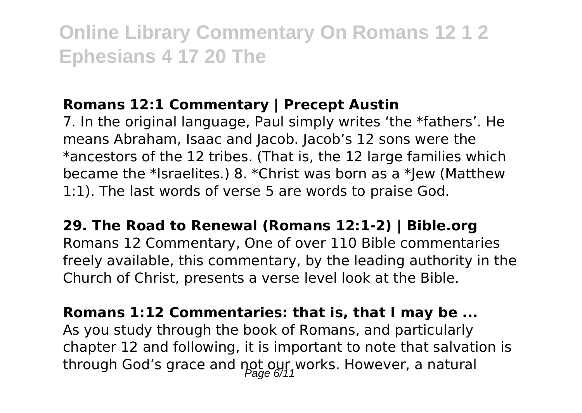#### **Romans 12:1 Commentary | Precept Austin**

7. In the original language, Paul simply writes 'the \*fathers'. He means Abraham, Isaac and Jacob. Jacob's 12 sons were the \*ancestors of the 12 tribes. (That is, the 12 large families which became the \*Israelites.) 8. \*Christ was born as a \*Jew (Matthew 1:1). The last words of verse 5 are words to praise God.

**29. The Road to Renewal (Romans 12:1-2) | Bible.org** Romans 12 Commentary, One of over 110 Bible commentaries freely available, this commentary, by the leading authority in the Church of Christ, presents a verse level look at the Bible.

**Romans 1:12 Commentaries: that is, that I may be ...** As you study through the book of Romans, and particularly chapter 12 and following, it is important to note that salvation is through God's grace and  $\text{pot}\_{\text{200}}$  ( $\text{y11}$ works. However, a natural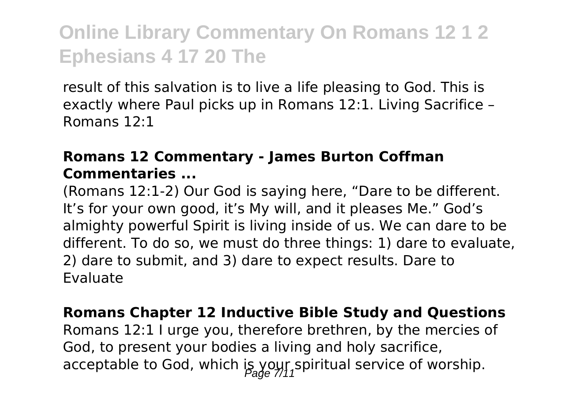result of this salvation is to live a life pleasing to God. This is exactly where Paul picks up in Romans 12:1. Living Sacrifice – Romans 12:1

### **Romans 12 Commentary - James Burton Coffman Commentaries ...**

(Romans 12:1-2) Our God is saying here, "Dare to be different. It's for your own good, it's My will, and it pleases Me." God's almighty powerful Spirit is living inside of us. We can dare to be different. To do so, we must do three things: 1) dare to evaluate, 2) dare to submit, and 3) dare to expect results. Dare to Evaluate

#### **Romans Chapter 12 Inductive Bible Study and Questions**

Romans 12:1 I urge you, therefore brethren, by the mercies of God, to present your bodies a living and holy sacrifice, acceptable to God, which is your spiritual service of worship.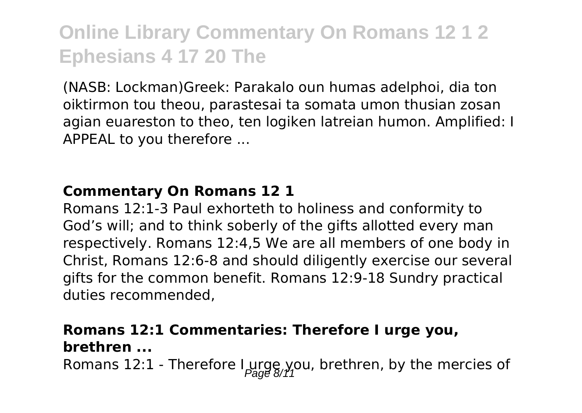(NASB: Lockman)Greek: Parakalo oun humas adelphoi, dia ton oiktirmon tou theou, parastesai ta somata umon thusian zosan agian euareston to theo, ten logiken latreian humon. Amplified: I APPEAL to you therefore ...

#### **Commentary On Romans 12 1**

Romans 12:1-3 Paul exhorteth to holiness and conformity to God's will; and to think soberly of the gifts allotted every man respectively. Romans 12:4,5 We are all members of one body in Christ, Romans 12:6-8 and should diligently exercise our several gifts for the common benefit. Romans 12:9-18 Sundry practical duties recommended,

### **Romans 12:1 Commentaries: Therefore I urge you, brethren ...**

Romans 12:1 - Therefore  $\lim_{\beta \to 0}$  you, brethren, by the mercies of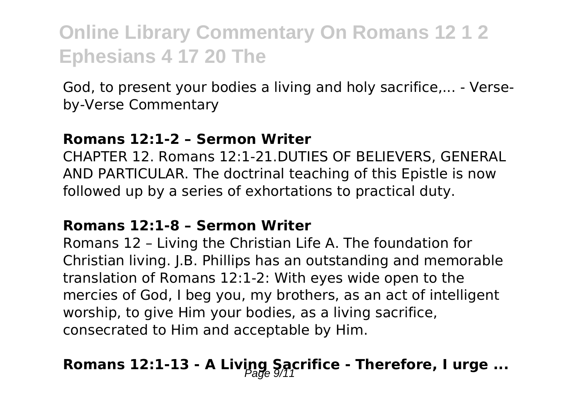God, to present your bodies a living and holy sacrifice,... - Verseby-Verse Commentary

#### **Romans 12:1-2 – Sermon Writer**

CHAPTER 12. Romans 12:1-21.DUTIES OF BELIEVERS, GENERAL AND PARTICULAR. The doctrinal teaching of this Epistle is now followed up by a series of exhortations to practical duty.

#### **Romans 12:1-8 – Sermon Writer**

Romans 12 – Living the Christian Life A. The foundation for Christian living. J.B. Phillips has an outstanding and memorable translation of Romans 12:1-2: With eyes wide open to the mercies of God, I beg you, my brothers, as an act of intelligent worship, to give Him your bodies, as a living sacrifice, consecrated to Him and acceptable by Him.

# Romans 12:1-13 - A Living Sacrifice - Therefore, I urge ...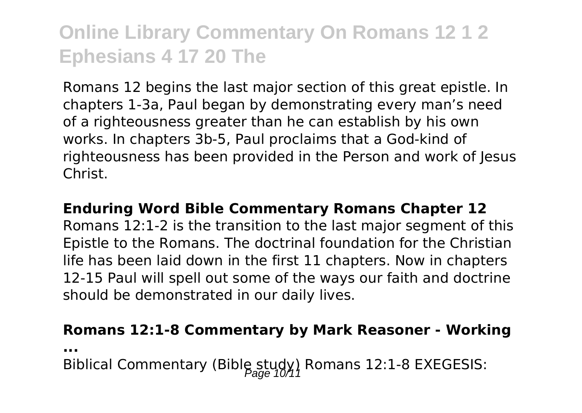Romans 12 begins the last major section of this great epistle. In chapters 1-3a, Paul began by demonstrating every man's need of a righteousness greater than he can establish by his own works. In chapters 3b-5, Paul proclaims that a God-kind of righteousness has been provided in the Person and work of lesus Christ.

### **Enduring Word Bible Commentary Romans Chapter 12** Romans 12:1-2 is the transition to the last major segment of this Epistle to the Romans. The doctrinal foundation for the Christian life has been laid down in the first 11 chapters. Now in chapters 12-15 Paul will spell out some of the ways our faith and doctrine should be demonstrated in our daily lives.

#### **Romans 12:1-8 Commentary by Mark Reasoner - Working**

**...**

Biblical Commentary (Bible study) Romans 12:1-8 EXEGESIS: